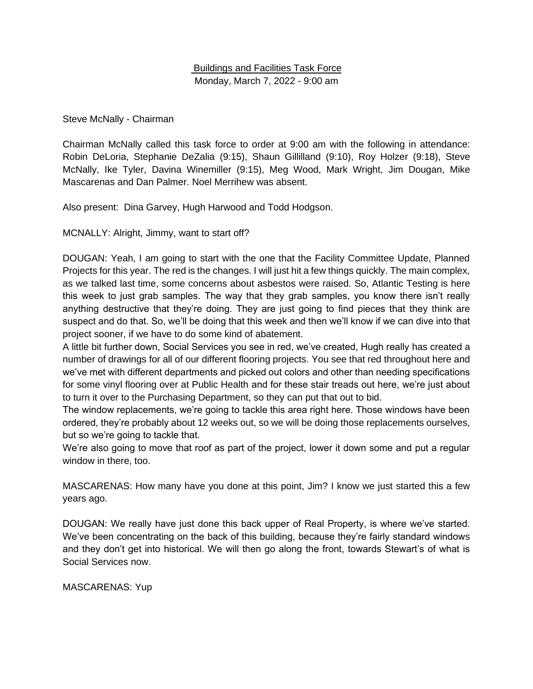## Buildings and Facilities Task Force Monday, March 7, 2022 - 9:00 am

## Steve McNally - Chairman

Chairman McNally called this task force to order at 9:00 am with the following in attendance: Robin DeLoria, Stephanie DeZalia (9:15), Shaun Gillilland (9:10), Roy Holzer (9:18), Steve McNally, Ike Tyler, Davina Winemiller (9:15), Meg Wood, Mark Wright, Jim Dougan, Mike Mascarenas and Dan Palmer. Noel Merrihew was absent.

Also present: Dina Garvey, Hugh Harwood and Todd Hodgson.

MCNALLY: Alright, Jimmy, want to start off?

DOUGAN: Yeah, I am going to start with the one that the Facility Committee Update, Planned Projects for this year. The red is the changes. I will just hit a few things quickly. The main complex, as we talked last time, some concerns about asbestos were raised. So, Atlantic Testing is here this week to just grab samples. The way that they grab samples, you know there isn't really anything destructive that they're doing. They are just going to find pieces that they think are suspect and do that. So, we'll be doing that this week and then we'll know if we can dive into that project sooner, if we have to do some kind of abatement.

A little bit further down, Social Services you see in red, we've created, Hugh really has created a number of drawings for all of our different flooring projects. You see that red throughout here and we've met with different departments and picked out colors and other than needing specifications for some vinyl flooring over at Public Health and for these stair treads out here, we're just about to turn it over to the Purchasing Department, so they can put that out to bid.

The window replacements, we're going to tackle this area right here. Those windows have been ordered, they're probably about 12 weeks out, so we will be doing those replacements ourselves, but so we're going to tackle that.

We're also going to move that roof as part of the project, lower it down some and put a regular window in there, too.

MASCARENAS: How many have you done at this point, Jim? I know we just started this a few years ago.

DOUGAN: We really have just done this back upper of Real Property, is where we've started. We've been concentrating on the back of this building, because they're fairly standard windows and they don't get into historical. We will then go along the front, towards Stewart's of what is Social Services now.

MASCARENAS: Yup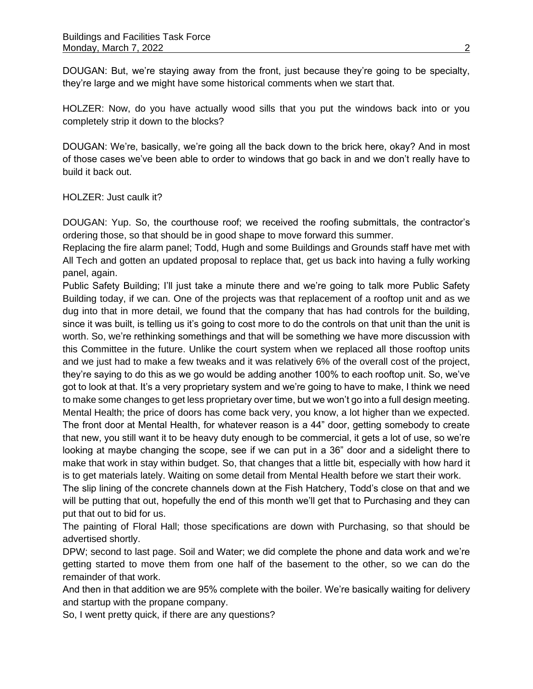DOUGAN: But, we're staying away from the front, just because they're going to be specialty, they're large and we might have some historical comments when we start that.

HOLZER: Now, do you have actually wood sills that you put the windows back into or you completely strip it down to the blocks?

DOUGAN: We're, basically, we're going all the back down to the brick here, okay? And in most of those cases we've been able to order to windows that go back in and we don't really have to build it back out.

HOLZER: Just caulk it?

DOUGAN: Yup. So, the courthouse roof; we received the roofing submittals, the contractor's ordering those, so that should be in good shape to move forward this summer.

Replacing the fire alarm panel; Todd, Hugh and some Buildings and Grounds staff have met with All Tech and gotten an updated proposal to replace that, get us back into having a fully working panel, again.

Public Safety Building; I'll just take a minute there and we're going to talk more Public Safety Building today, if we can. One of the projects was that replacement of a rooftop unit and as we dug into that in more detail, we found that the company that has had controls for the building, since it was built, is telling us it's going to cost more to do the controls on that unit than the unit is worth. So, we're rethinking somethings and that will be something we have more discussion with this Committee in the future. Unlike the court system when we replaced all those rooftop units and we just had to make a few tweaks and it was relatively 6% of the overall cost of the project, they're saying to do this as we go would be adding another 100% to each rooftop unit. So, we've got to look at that. It's a very proprietary system and we're going to have to make, I think we need to make some changes to get less proprietary over time, but we won't go into a full design meeting. Mental Health; the price of doors has come back very, you know, a lot higher than we expected. The front door at Mental Health, for whatever reason is a 44" door, getting somebody to create that new, you still want it to be heavy duty enough to be commercial, it gets a lot of use, so we're looking at maybe changing the scope, see if we can put in a 36" door and a sidelight there to make that work in stay within budget. So, that changes that a little bit, especially with how hard it is to get materials lately. Waiting on some detail from Mental Health before we start their work.

The slip lining of the concrete channels down at the Fish Hatchery, Todd's close on that and we will be putting that out, hopefully the end of this month we'll get that to Purchasing and they can put that out to bid for us.

The painting of Floral Hall; those specifications are down with Purchasing, so that should be advertised shortly.

DPW; second to last page. Soil and Water; we did complete the phone and data work and we're getting started to move them from one half of the basement to the other, so we can do the remainder of that work.

And then in that addition we are 95% complete with the boiler. We're basically waiting for delivery and startup with the propane company.

So, I went pretty quick, if there are any questions?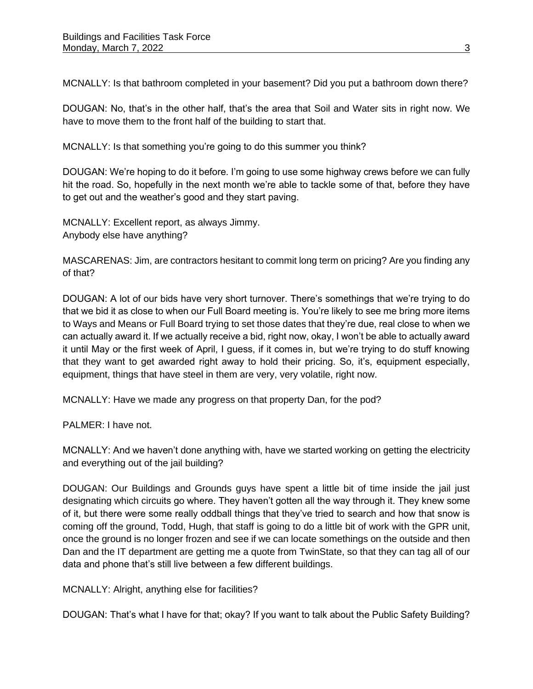MCNALLY: Is that bathroom completed in your basement? Did you put a bathroom down there?

DOUGAN: No, that's in the other half, that's the area that Soil and Water sits in right now. We have to move them to the front half of the building to start that.

MCNALLY: Is that something you're going to do this summer you think?

DOUGAN: We're hoping to do it before. I'm going to use some highway crews before we can fully hit the road. So, hopefully in the next month we're able to tackle some of that, before they have to get out and the weather's good and they start paving.

MCNALLY: Excellent report, as always Jimmy. Anybody else have anything?

MASCARENAS: Jim, are contractors hesitant to commit long term on pricing? Are you finding any of that?

DOUGAN: A lot of our bids have very short turnover. There's somethings that we're trying to do that we bid it as close to when our Full Board meeting is. You're likely to see me bring more items to Ways and Means or Full Board trying to set those dates that they're due, real close to when we can actually award it. If we actually receive a bid, right now, okay, I won't be able to actually award it until May or the first week of April, I guess, if it comes in, but we're trying to do stuff knowing that they want to get awarded right away to hold their pricing. So, it's, equipment especially, equipment, things that have steel in them are very, very volatile, right now.

MCNALLY: Have we made any progress on that property Dan, for the pod?

PALMER: I have not.

MCNALLY: And we haven't done anything with, have we started working on getting the electricity and everything out of the jail building?

DOUGAN: Our Buildings and Grounds guys have spent a little bit of time inside the jail just designating which circuits go where. They haven't gotten all the way through it. They knew some of it, but there were some really oddball things that they've tried to search and how that snow is coming off the ground, Todd, Hugh, that staff is going to do a little bit of work with the GPR unit, once the ground is no longer frozen and see if we can locate somethings on the outside and then Dan and the IT department are getting me a quote from TwinState, so that they can tag all of our data and phone that's still live between a few different buildings.

MCNALLY: Alright, anything else for facilities?

DOUGAN: That's what I have for that; okay? If you want to talk about the Public Safety Building?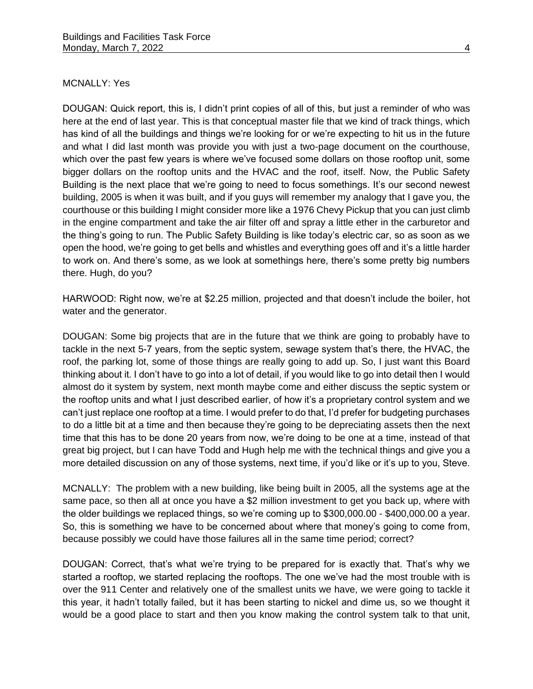## MCNALLY: Yes

DOUGAN: Quick report, this is, I didn't print copies of all of this, but just a reminder of who was here at the end of last year. This is that conceptual master file that we kind of track things, which has kind of all the buildings and things we're looking for or we're expecting to hit us in the future and what I did last month was provide you with just a two-page document on the courthouse, which over the past few years is where we've focused some dollars on those rooftop unit, some bigger dollars on the rooftop units and the HVAC and the roof, itself. Now, the Public Safety Building is the next place that we're going to need to focus somethings. It's our second newest building, 2005 is when it was built, and if you guys will remember my analogy that I gave you, the courthouse or this building I might consider more like a 1976 Chevy Pickup that you can just climb in the engine compartment and take the air filter off and spray a little ether in the carburetor and the thing's going to run. The Public Safety Building is like today's electric car, so as soon as we open the hood, we're going to get bells and whistles and everything goes off and it's a little harder to work on. And there's some, as we look at somethings here, there's some pretty big numbers there. Hugh, do you?

HARWOOD: Right now, we're at \$2.25 million, projected and that doesn't include the boiler, hot water and the generator.

DOUGAN: Some big projects that are in the future that we think are going to probably have to tackle in the next 5-7 years, from the septic system, sewage system that's there, the HVAC, the roof, the parking lot, some of those things are really going to add up. So, I just want this Board thinking about it. I don't have to go into a lot of detail, if you would like to go into detail then I would almost do it system by system, next month maybe come and either discuss the septic system or the rooftop units and what I just described earlier, of how it's a proprietary control system and we can't just replace one rooftop at a time. I would prefer to do that, I'd prefer for budgeting purchases to do a little bit at a time and then because they're going to be depreciating assets then the next time that this has to be done 20 years from now, we're doing to be one at a time, instead of that great big project, but I can have Todd and Hugh help me with the technical things and give you a more detailed discussion on any of those systems, next time, if you'd like or it's up to you, Steve.

MCNALLY: The problem with a new building, like being built in 2005, all the systems age at the same pace, so then all at once you have a \$2 million investment to get you back up, where with the older buildings we replaced things, so we're coming up to \$300,000.00 - \$400,000.00 a year. So, this is something we have to be concerned about where that money's going to come from, because possibly we could have those failures all in the same time period; correct?

DOUGAN: Correct, that's what we're trying to be prepared for is exactly that. That's why we started a rooftop, we started replacing the rooftops. The one we've had the most trouble with is over the 911 Center and relatively one of the smallest units we have, we were going to tackle it this year, it hadn't totally failed, but it has been starting to nickel and dime us, so we thought it would be a good place to start and then you know making the control system talk to that unit,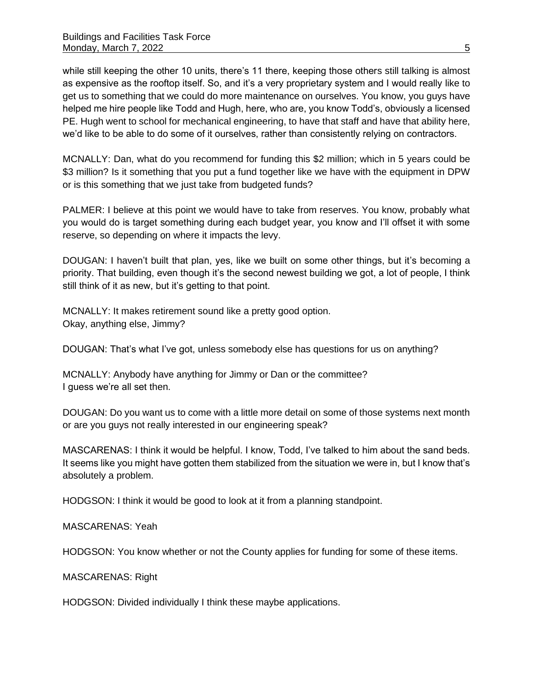while still keeping the other 10 units, there's 11 there, keeping those others still talking is almost as expensive as the rooftop itself. So, and it's a very proprietary system and I would really like to get us to something that we could do more maintenance on ourselves. You know, you guys have helped me hire people like Todd and Hugh, here, who are, you know Todd's, obviously a licensed PE. Hugh went to school for mechanical engineering, to have that staff and have that ability here, we'd like to be able to do some of it ourselves, rather than consistently relying on contractors.

MCNALLY: Dan, what do you recommend for funding this \$2 million; which in 5 years could be \$3 million? Is it something that you put a fund together like we have with the equipment in DPW or is this something that we just take from budgeted funds?

PALMER: I believe at this point we would have to take from reserves. You know, probably what you would do is target something during each budget year, you know and I'll offset it with some reserve, so depending on where it impacts the levy.

DOUGAN: I haven't built that plan, yes, like we built on some other things, but it's becoming a priority. That building, even though it's the second newest building we got, a lot of people, I think still think of it as new, but it's getting to that point.

MCNALLY: It makes retirement sound like a pretty good option. Okay, anything else, Jimmy?

DOUGAN: That's what I've got, unless somebody else has questions for us on anything?

MCNALLY: Anybody have anything for Jimmy or Dan or the committee? I guess we're all set then.

DOUGAN: Do you want us to come with a little more detail on some of those systems next month or are you guys not really interested in our engineering speak?

MASCARENAS: I think it would be helpful. I know, Todd, I've talked to him about the sand beds. It seems like you might have gotten them stabilized from the situation we were in, but I know that's absolutely a problem.

HODGSON: I think it would be good to look at it from a planning standpoint.

MASCARENAS: Yeah

HODGSON: You know whether or not the County applies for funding for some of these items.

MASCARENAS: Right

HODGSON: Divided individually I think these maybe applications.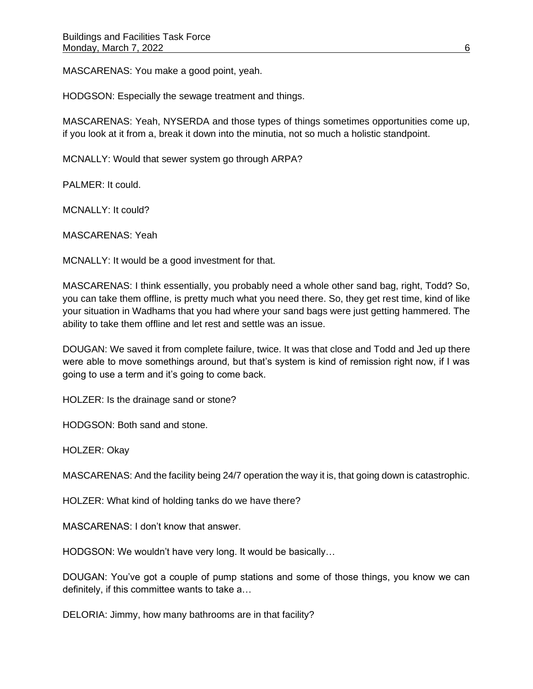MASCARENAS: You make a good point, yeah.

HODGSON: Especially the sewage treatment and things.

MASCARENAS: Yeah, NYSERDA and those types of things sometimes opportunities come up, if you look at it from a, break it down into the minutia, not so much a holistic standpoint.

MCNALLY: Would that sewer system go through ARPA?

PALMER: It could.

MCNALLY: It could?

MASCARENAS: Yeah

MCNALLY: It would be a good investment for that.

MASCARENAS: I think essentially, you probably need a whole other sand bag, right, Todd? So, you can take them offline, is pretty much what you need there. So, they get rest time, kind of like your situation in Wadhams that you had where your sand bags were just getting hammered. The ability to take them offline and let rest and settle was an issue.

DOUGAN: We saved it from complete failure, twice. It was that close and Todd and Jed up there were able to move somethings around, but that's system is kind of remission right now, if I was going to use a term and it's going to come back.

HOLZER: Is the drainage sand or stone?

HODGSON: Both sand and stone.

HOLZER: Okay

MASCARENAS: And the facility being 24/7 operation the way it is, that going down is catastrophic.

HOLZER: What kind of holding tanks do we have there?

MASCARENAS: I don't know that answer.

HODGSON: We wouldn't have very long. It would be basically…

DOUGAN: You've got a couple of pump stations and some of those things, you know we can definitely, if this committee wants to take a…

DELORIA: Jimmy, how many bathrooms are in that facility?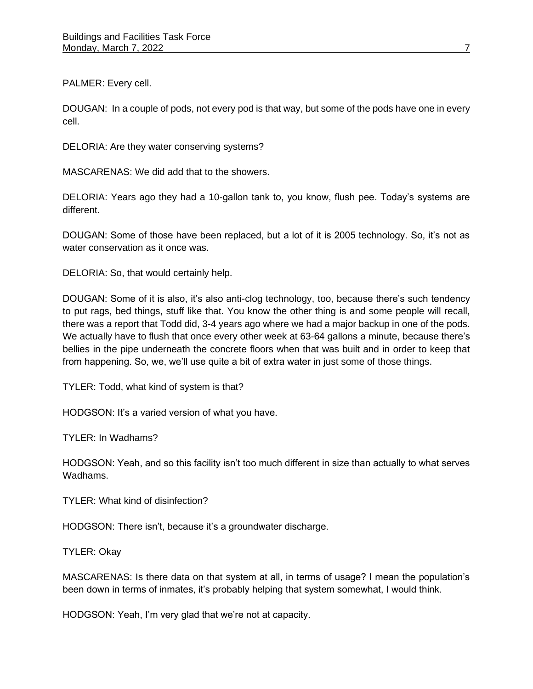PALMER: Every cell.

DOUGAN: In a couple of pods, not every pod is that way, but some of the pods have one in every cell.

DELORIA: Are they water conserving systems?

MASCARENAS: We did add that to the showers.

DELORIA: Years ago they had a 10-gallon tank to, you know, flush pee. Today's systems are different.

DOUGAN: Some of those have been replaced, but a lot of it is 2005 technology. So, it's not as water conservation as it once was.

DELORIA: So, that would certainly help.

DOUGAN: Some of it is also, it's also anti-clog technology, too, because there's such tendency to put rags, bed things, stuff like that. You know the other thing is and some people will recall, there was a report that Todd did, 3-4 years ago where we had a major backup in one of the pods. We actually have to flush that once every other week at 63-64 gallons a minute, because there's bellies in the pipe underneath the concrete floors when that was built and in order to keep that from happening. So, we, we'll use quite a bit of extra water in just some of those things.

TYLER: Todd, what kind of system is that?

HODGSON: It's a varied version of what you have.

TYLER: In Wadhams?

HODGSON: Yeah, and so this facility isn't too much different in size than actually to what serves Wadhams.

TYLER: What kind of disinfection?

HODGSON: There isn't, because it's a groundwater discharge.

TYLER: Okay

MASCARENAS: Is there data on that system at all, in terms of usage? I mean the population's been down in terms of inmates, it's probably helping that system somewhat, I would think.

HODGSON: Yeah, I'm very glad that we're not at capacity.